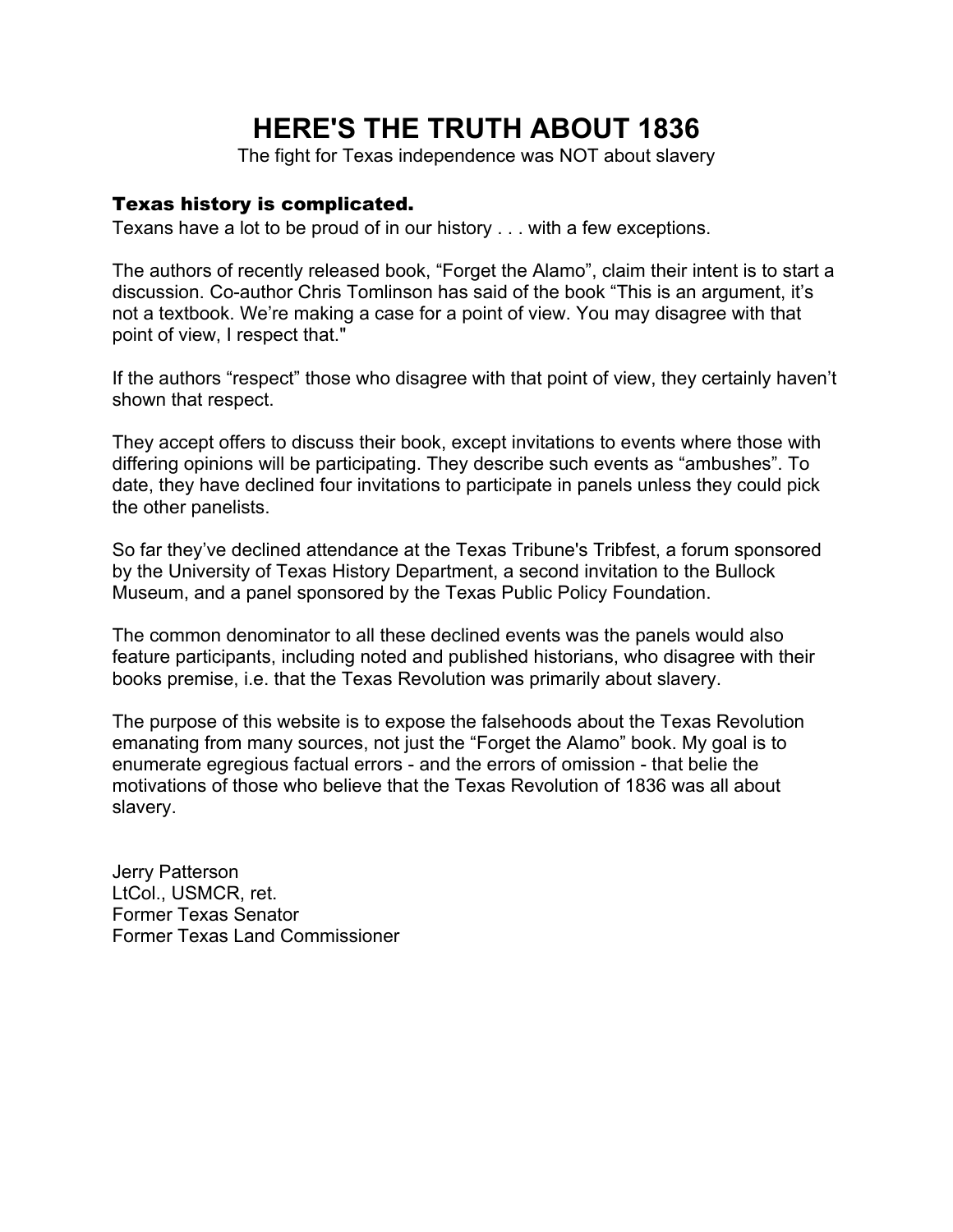# **HERE'S THE TRUTH ABOUT 1836**

The fight for Texas independence was NOT about slavery

#### Texas history is complicated.

Texans have a lot to be proud of in our history . . . with a few exceptions.

The authors of recently released book, "Forget the Alamo", claim their intent is to start a discussion. Co-author Chris Tomlinson has said of the book "This is an argument, it's not a textbook. We're making a case for a point of view. You may disagree with that point of view, I respect that."

If the authors "respect" those who disagree with that point of view, they certainly haven't shown that respect.

They accept offers to discuss their book, except invitations to events where those with differing opinions will be participating. They describe such events as "ambushes". To date, they have declined four invitations to participate in panels unless they could pick the other panelists.

So far they've declined attendance at the Texas Tribune's Tribfest, a forum sponsored by the University of Texas History Department, a second invitation to the Bullock Museum, and a panel sponsored by the Texas Public Policy Foundation.

The common denominator to all these declined events was the panels would also feature participants, including noted and published historians, who disagree with their books premise, i.e. that the Texas Revolution was primarily about slavery.

The purpose of this website is to expose the falsehoods about the Texas Revolution emanating from many sources, not just the "Forget the Alamo" book. My goal is to enumerate egregious factual errors - and the errors of omission - that belie the motivations of those who believe that the Texas Revolution of 1836 was all about slavery.

Jerry Patterson LtCol., USMCR, ret. Former Texas Senator Former Texas Land Commissioner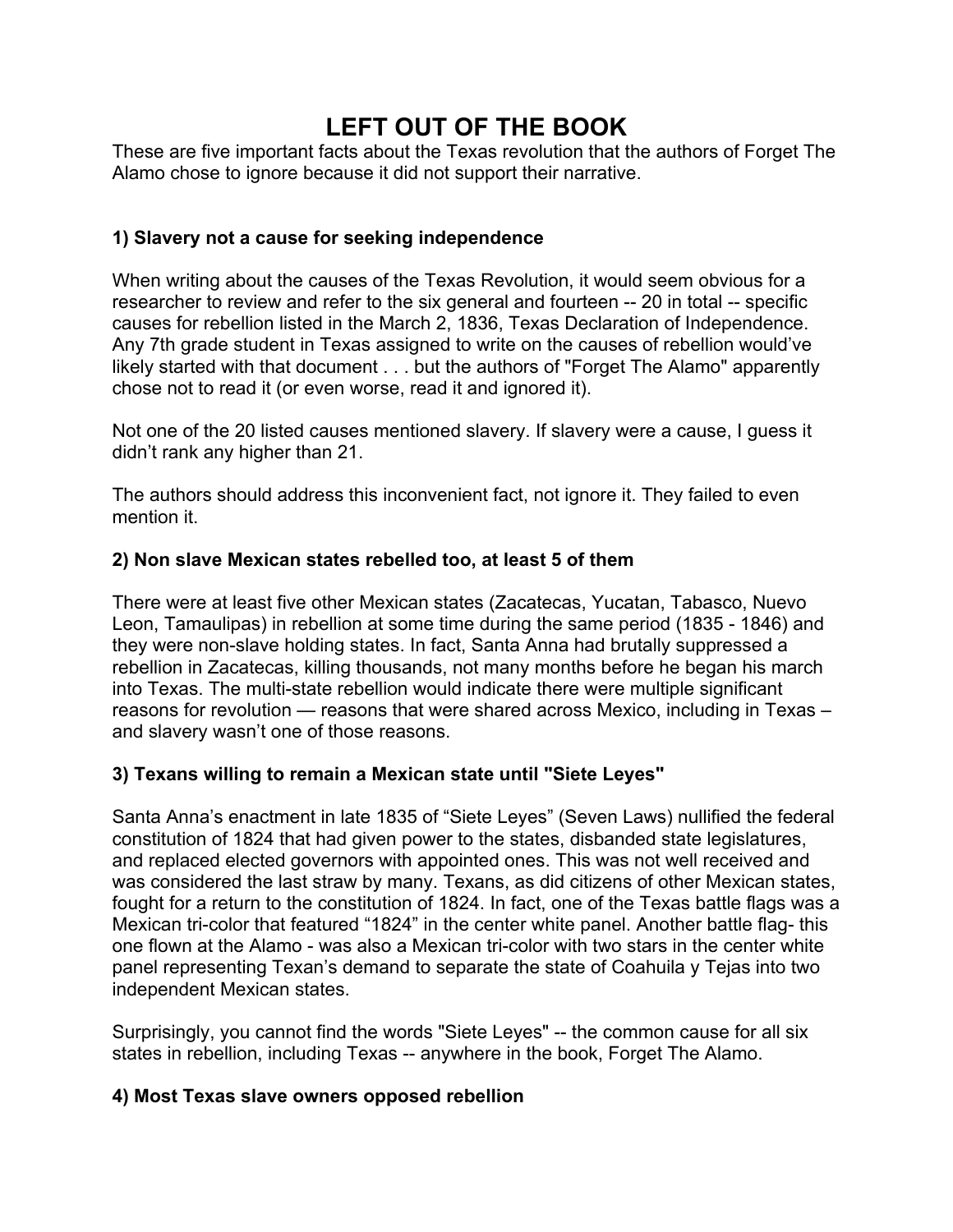## **LEFT OUT OF THE BOOK**

These are five important facts about the Texas revolution that the authors of Forget The Alamo chose to ignore because it did not support their narrative.

### **1) Slavery not a cause for seeking independence**

When writing about the causes of the Texas Revolution, it would seem obvious for a researcher to review and refer to the six general and fourteen -- 20 in total -- specific causes for rebellion listed in the March 2, 1836, Texas Declaration of Independence. Any 7th grade student in Texas assigned to write on the causes of rebellion would've likely started with that document . . . but the authors of "Forget The Alamo" apparently chose not to read it (or even worse, read it and ignored it).

Not one of the 20 listed causes mentioned slavery. If slavery were a cause, I guess it didn't rank any higher than 21.

The authors should address this inconvenient fact, not ignore it. They failed to even mention it.

#### **2) Non slave Mexican states rebelled too, at least 5 of them**

There were at least five other Mexican states (Zacatecas, Yucatan, Tabasco, Nuevo Leon, Tamaulipas) in rebellion at some time during the same period (1835 - 1846) and they were non-slave holding states. In fact, Santa Anna had brutally suppressed a rebellion in Zacatecas, killing thousands, not many months before he began his march into Texas. The multi-state rebellion would indicate there were multiple significant reasons for revolution — reasons that were shared across Mexico, including in Texas – and slavery wasn't one of those reasons.

#### **3) Texans willing to remain a Mexican state until "Siete Leyes"**

Santa Anna's enactment in late 1835 of "Siete Leyes" (Seven Laws) nullified the federal constitution of 1824 that had given power to the states, disbanded state legislatures, and replaced elected governors with appointed ones. This was not well received and was considered the last straw by many. Texans, as did citizens of other Mexican states, fought for a return to the constitution of 1824. In fact, one of the Texas battle flags was a Mexican tri-color that featured "1824" in the center white panel. Another battle flag- this one flown at the Alamo - was also a Mexican tri-color with two stars in the center white panel representing Texan's demand to separate the state of Coahuila y Tejas into two independent Mexican states.

Surprisingly, you cannot find the words "Siete Leyes" -- the common cause for all six states in rebellion, including Texas -- anywhere in the book, Forget The Alamo.

#### **4) Most Texas slave owners opposed rebellion**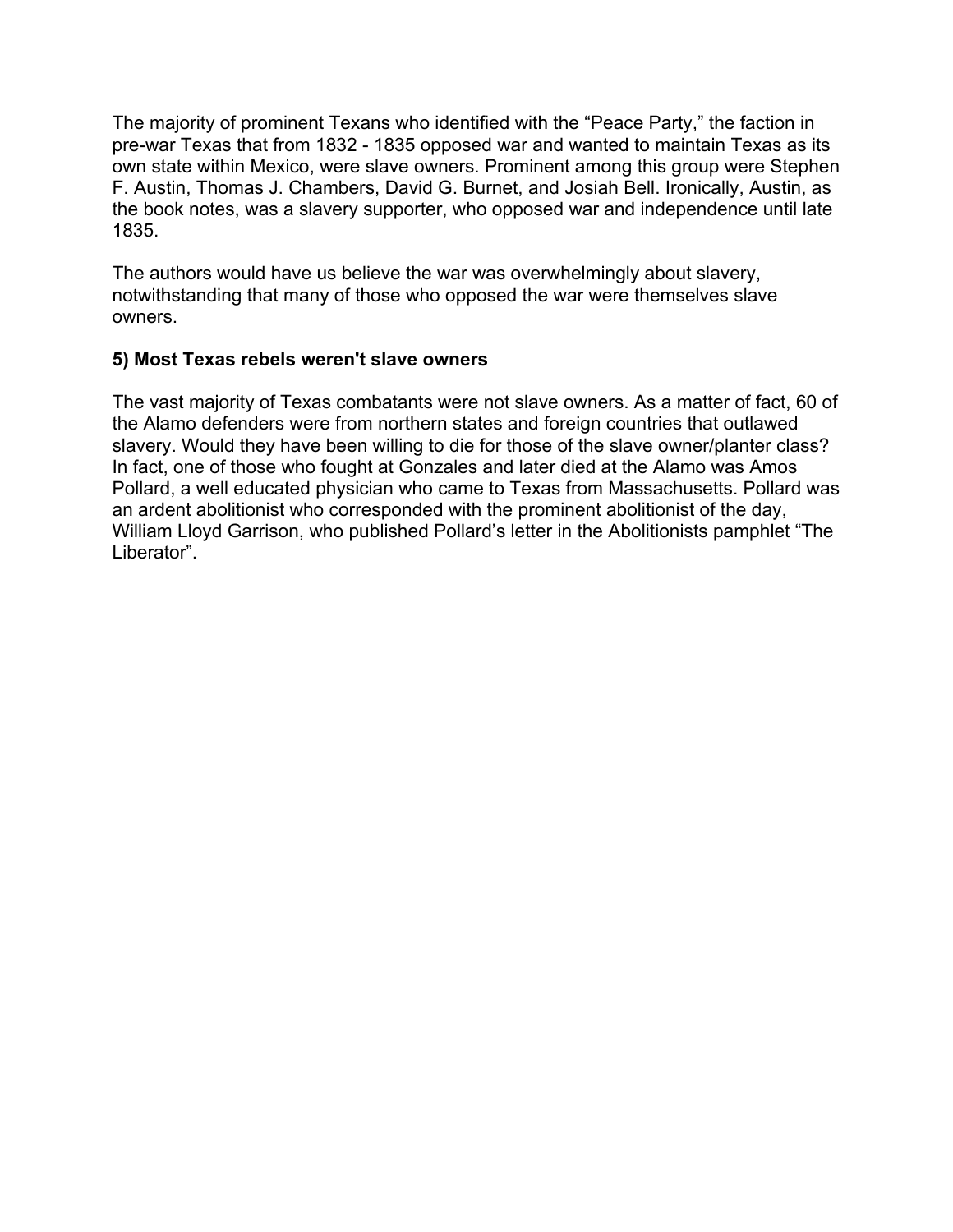The majority of prominent Texans who identified with the "Peace Party," the faction in pre-war Texas that from 1832 - 1835 opposed war and wanted to maintain Texas as its own state within Mexico, were slave owners. Prominent among this group were Stephen F. Austin, Thomas J. Chambers, David G. Burnet, and Josiah Bell. Ironically, Austin, as the book notes, was a slavery supporter, who opposed war and independence until late 1835.

The authors would have us believe the war was overwhelmingly about slavery, notwithstanding that many of those who opposed the war were themselves slave owners.

#### **5) Most Texas rebels weren't slave owners**

The vast majority of Texas combatants were not slave owners. As a matter of fact, 60 of the Alamo defenders were from northern states and foreign countries that outlawed slavery. Would they have been willing to die for those of the slave owner/planter class? In fact, one of those who fought at Gonzales and later died at the Alamo was Amos Pollard, a well educated physician who came to Texas from Massachusetts. Pollard was an ardent abolitionist who corresponded with the prominent abolitionist of the day, William Lloyd Garrison, who published Pollard's letter in the Abolitionists pamphlet "The Liberator".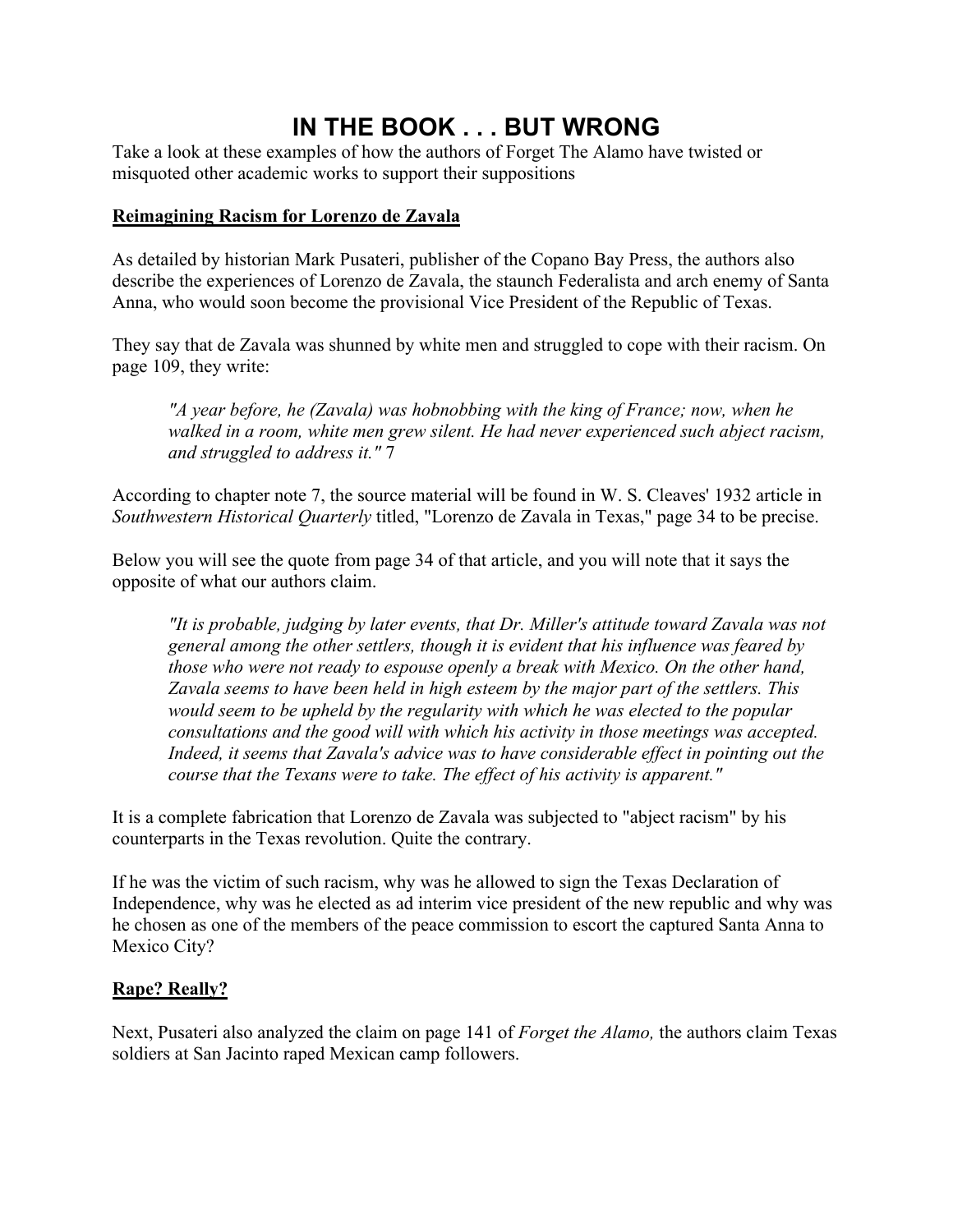### **IN THE BOOK . . . BUT WRONG**

Take a look at these examples of how the authors of Forget The Alamo have twisted or misquoted other academic works to support their suppositions

#### **Reimagining Racism for Lorenzo de Zavala**

As detailed by historian Mark Pusateri, publisher of the Copano Bay Press, the authors also describe the experiences of Lorenzo de Zavala, the staunch Federalista and arch enemy of Santa Anna, who would soon become the provisional Vice President of the Republic of Texas.

They say that de Zavala was shunned by white men and struggled to cope with their racism. On page 109, they write:

*"A year before, he (Zavala) was hobnobbing with the king of France; now, when he walked in a room, white men grew silent. He had never experienced such abject racism, and struggled to address it."* 7

According to chapter note 7, the source material will be found in W. S. Cleaves' 1932 article in *Southwestern Historical Quarterly* titled, "Lorenzo de Zavala in Texas," page 34 to be precise.

Below you will see the quote from page 34 of that article, and you will note that it says the opposite of what our authors claim.

*"It is probable, judging by later events, that Dr. Miller's attitude toward Zavala was not general among the other settlers, though it is evident that his influence was feared by those who were not ready to espouse openly a break with Mexico. On the other hand, Zavala seems to have been held in high esteem by the major part of the settlers. This would seem to be upheld by the regularity with which he was elected to the popular consultations and the good will with which his activity in those meetings was accepted. Indeed, it seems that Zavala's advice was to have considerable effect in pointing out the course that the Texans were to take. The effect of his activity is apparent."*

It is a complete fabrication that Lorenzo de Zavala was subjected to "abject racism" by his counterparts in the Texas revolution. Quite the contrary.

If he was the victim of such racism, why was he allowed to sign the Texas Declaration of Independence, why was he elected as ad interim vice president of the new republic and why was he chosen as one of the members of the peace commission to escort the captured Santa Anna to Mexico City?

#### **Rape? Really?**

Next, Pusateri also analyzed the claim on page 141 of *Forget the Alamo,* the authors claim Texas soldiers at San Jacinto raped Mexican camp followers.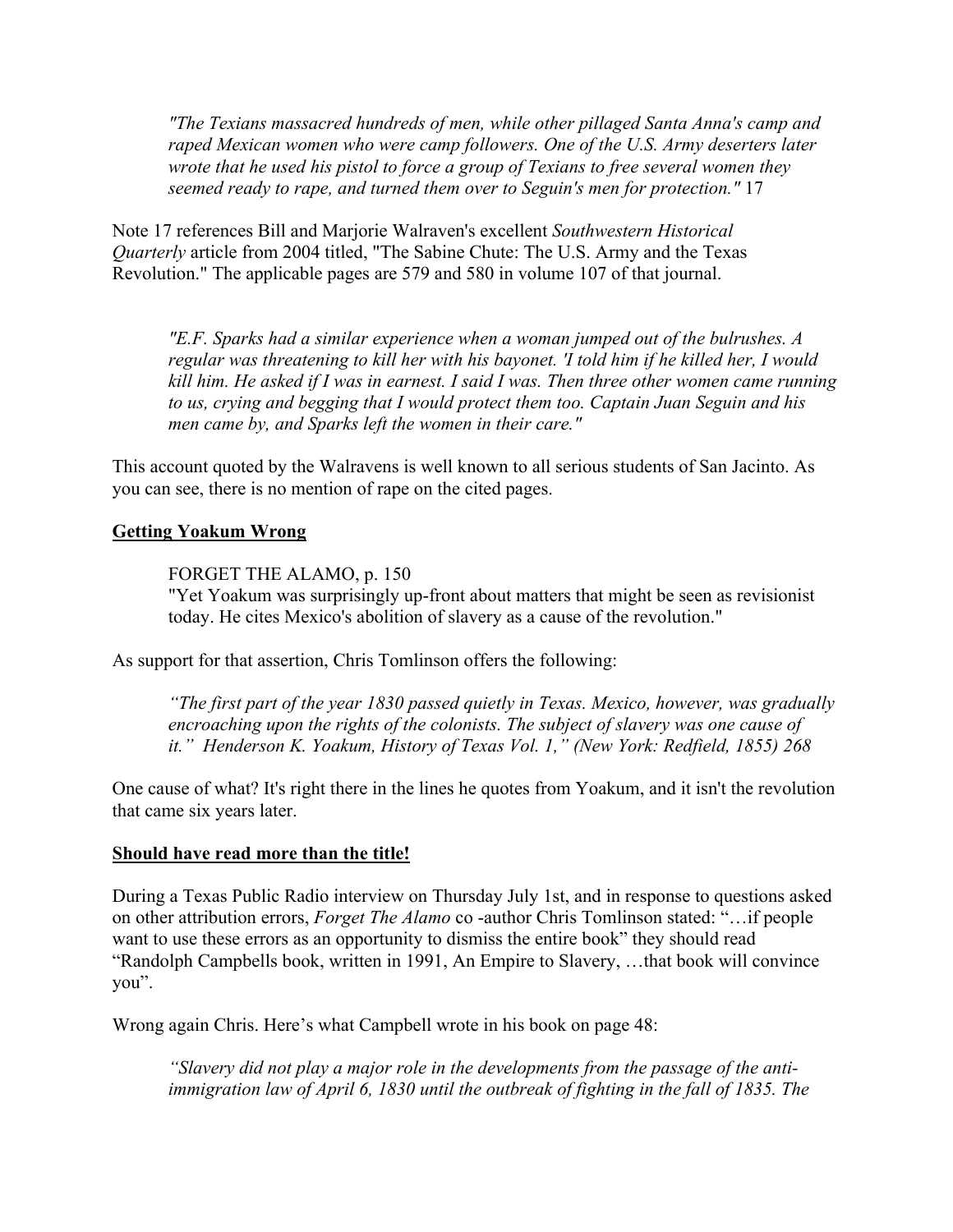*"The Texians massacred hundreds of men, while other pillaged Santa Anna's camp and raped Mexican women who were camp followers. One of the U.S. Army deserters later wrote that he used his pistol to force a group of Texians to free several women they seemed ready to rape, and turned them over to Seguin's men for protection."* 17

Note 17 references Bill and Marjorie Walraven's excellent *Southwestern Historical Quarterly* article from 2004 titled, "The Sabine Chute: The U.S. Army and the Texas Revolution." The applicable pages are 579 and 580 in volume 107 of that journal.

*"E.F. Sparks had a similar experience when a woman jumped out of the bulrushes. A regular was threatening to kill her with his bayonet. 'I told him if he killed her, I would kill him. He asked if I was in earnest. I said I was. Then three other women came running to us, crying and begging that I would protect them too. Captain Juan Seguin and his men came by, and Sparks left the women in their care."*

This account quoted by the Walravens is well known to all serious students of San Jacinto. As you can see, there is no mention of rape on the cited pages.

#### **Getting Yoakum Wrong**

FORGET THE ALAMO, p. 150

"Yet Yoakum was surprisingly up-front about matters that might be seen as revisionist today. He cites Mexico's abolition of slavery as a cause of the revolution."

As support for that assertion, Chris Tomlinson offers the following:

*"The first part of the year 1830 passed quietly in Texas. Mexico, however, was gradually encroaching upon the rights of the colonists. The subject of slavery was one cause of it." Henderson K. Yoakum, History of Texas Vol. 1," (New York: Redfield, 1855) 268*

One cause of what? It's right there in the lines he quotes from Yoakum, and it isn't the revolution that came six years later.

#### **Should have read more than the title!**

During a Texas Public Radio interview on Thursday July 1st, and in response to questions asked on other attribution errors, *Forget The Alamo* co -author Chris Tomlinson stated: "…if people want to use these errors as an opportunity to dismiss the entire book" they should read "Randolph Campbells book, written in 1991, An Empire to Slavery, …that book will convince you".

Wrong again Chris. Here's what Campbell wrote in his book on page 48:

*"Slavery did not play a major role in the developments from the passage of the antiimmigration law of April 6, 1830 until the outbreak of fighting in the fall of 1835. The*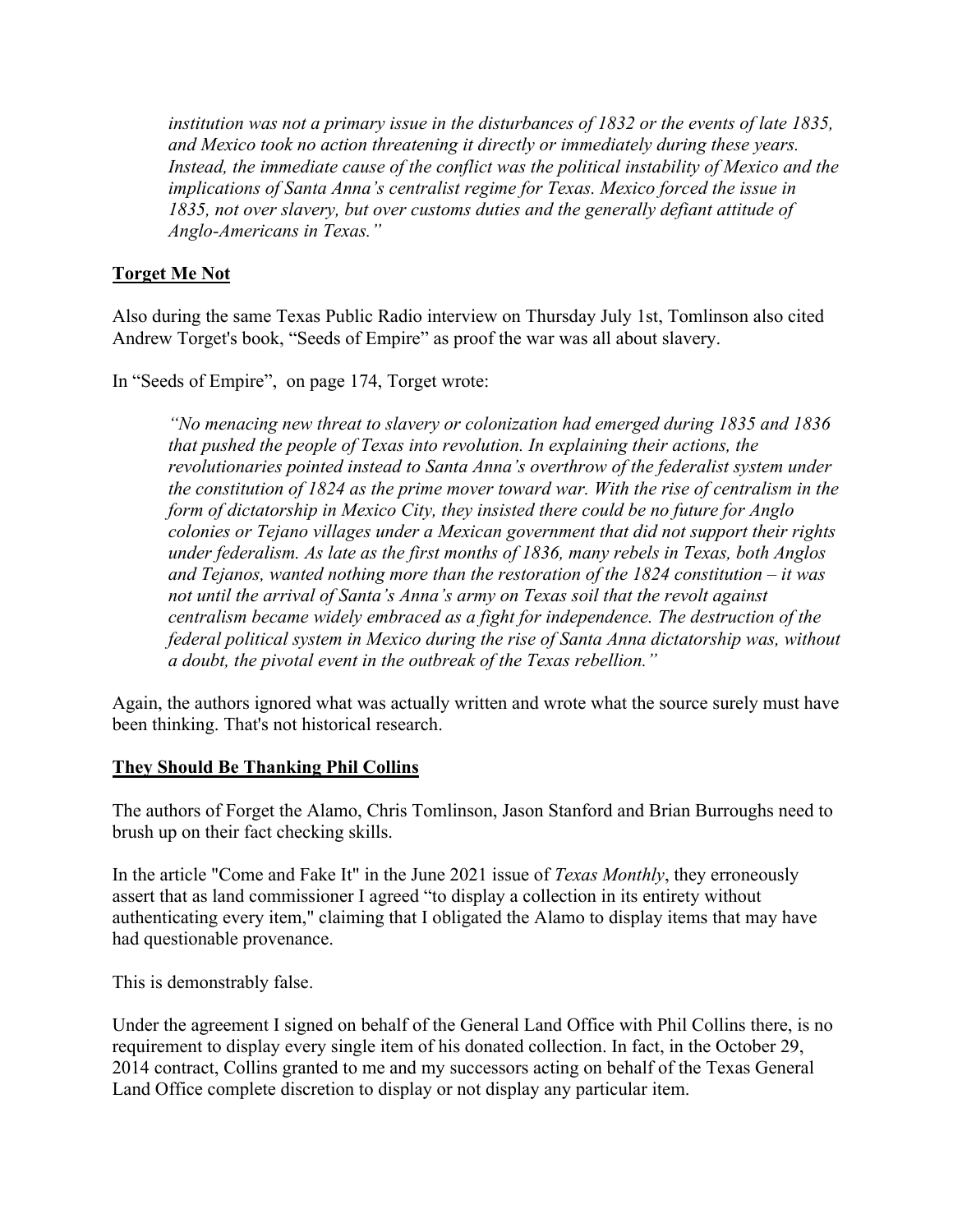*institution was not a primary issue in the disturbances of 1832 or the events of late 1835, and Mexico took no action threatening it directly or immediately during these years. Instead, the immediate cause of the conflict was the political instability of Mexico and the implications of Santa Anna's centralist regime for Texas. Mexico forced the issue in 1835, not over slavery, but over customs duties and the generally defiant attitude of Anglo-Americans in Texas."* 

#### **Torget Me Not**

Also during the same Texas Public Radio interview on Thursday July 1st, Tomlinson also cited Andrew Torget's book, "Seeds of Empire" as proof the war was all about slavery.

In "Seeds of Empire", on page 174, Torget wrote:

*"No menacing new threat to slavery or colonization had emerged during 1835 and 1836 that pushed the people of Texas into revolution. In explaining their actions, the revolutionaries pointed instead to Santa Anna's overthrow of the federalist system under the constitution of 1824 as the prime mover toward war. With the rise of centralism in the form of dictatorship in Mexico City, they insisted there could be no future for Anglo colonies or Tejano villages under a Mexican government that did not support their rights under federalism. As late as the first months of 1836, many rebels in Texas, both Anglos and Tejanos, wanted nothing more than the restoration of the 1824 constitution – it was not until the arrival of Santa's Anna's army on Texas soil that the revolt against centralism became widely embraced as a fight for independence. The destruction of the federal political system in Mexico during the rise of Santa Anna dictatorship was, without a doubt, the pivotal event in the outbreak of the Texas rebellion."*

Again, the authors ignored what was actually written and wrote what the source surely must have been thinking. That's not historical research.

#### **They Should Be Thanking Phil Collins**

The authors of Forget the Alamo, Chris Tomlinson, Jason Stanford and Brian Burroughs need to brush up on their fact checking skills.

In the article "Come and Fake It" in the June 2021 issue of *Texas Monthly*, they erroneously assert that as land commissioner I agreed "to display a collection in its entirety without authenticating every item," claiming that I obligated the Alamo to display items that may have had questionable provenance.

This is demonstrably false.

Under the agreement I signed on behalf of the General Land Office with Phil Collins there, is no requirement to display every single item of his donated collection. In fact, in the October 29, 2014 contract, Collins granted to me and my successors acting on behalf of the Texas General Land Office complete discretion to display or not display any particular item.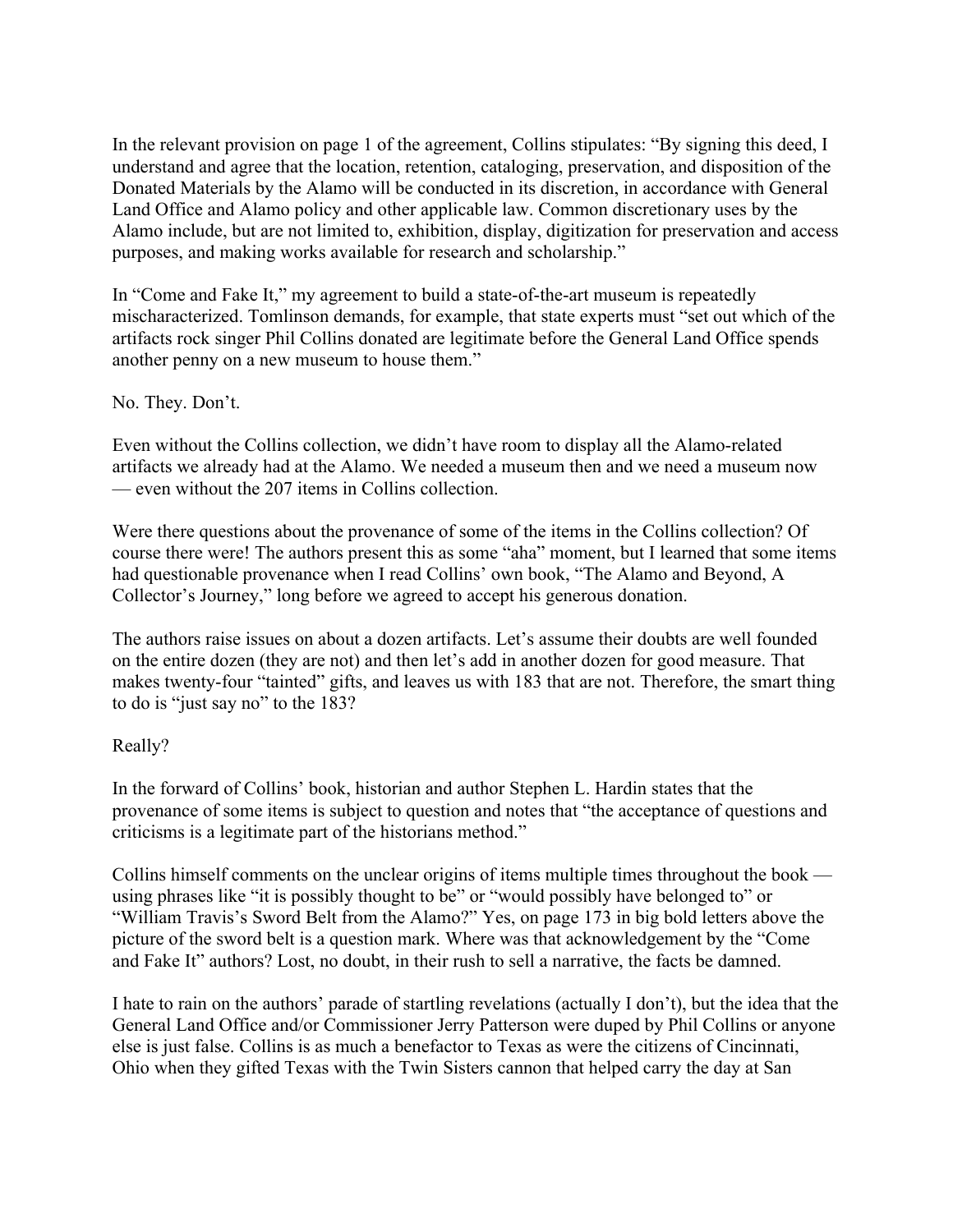In the relevant provision on page 1 of the agreement, Collins stipulates: "By signing this deed, I understand and agree that the location, retention, cataloging, preservation, and disposition of the Donated Materials by the Alamo will be conducted in its discretion, in accordance with General Land Office and Alamo policy and other applicable law. Common discretionary uses by the Alamo include, but are not limited to, exhibition, display, digitization for preservation and access purposes, and making works available for research and scholarship."

In "Come and Fake It," my agreement to build a state-of-the-art museum is repeatedly mischaracterized. Tomlinson demands, for example, that state experts must "set out which of the artifacts rock singer Phil Collins donated are legitimate before the General Land Office spends another penny on a new museum to house them."

#### No. They. Don't.

Even without the Collins collection, we didn't have room to display all the Alamo-related artifacts we already had at the Alamo. We needed a museum then and we need a museum now — even without the 207 items in Collins collection.

Were there questions about the provenance of some of the items in the Collins collection? Of course there were! The authors present this as some "aha" moment, but I learned that some items had questionable provenance when I read Collins' own book, "The Alamo and Beyond, A Collector's Journey," long before we agreed to accept his generous donation.

The authors raise issues on about a dozen artifacts. Let's assume their doubts are well founded on the entire dozen (they are not) and then let's add in another dozen for good measure. That makes twenty-four "tainted" gifts, and leaves us with 183 that are not. Therefore, the smart thing to do is "just say no" to the 183?

#### Really?

In the forward of Collins' book, historian and author Stephen L. Hardin states that the provenance of some items is subject to question and notes that "the acceptance of questions and criticisms is a legitimate part of the historians method."

Collins himself comments on the unclear origins of items multiple times throughout the book using phrases like "it is possibly thought to be" or "would possibly have belonged to" or "William Travis's Sword Belt from the Alamo?" Yes, on page 173 in big bold letters above the picture of the sword belt is a question mark. Where was that acknowledgement by the "Come and Fake It" authors? Lost, no doubt, in their rush to sell a narrative, the facts be damned.

I hate to rain on the authors' parade of startling revelations (actually I don't), but the idea that the General Land Office and/or Commissioner Jerry Patterson were duped by Phil Collins or anyone else is just false. Collins is as much a benefactor to Texas as were the citizens of Cincinnati, Ohio when they gifted Texas with the Twin Sisters cannon that helped carry the day at San